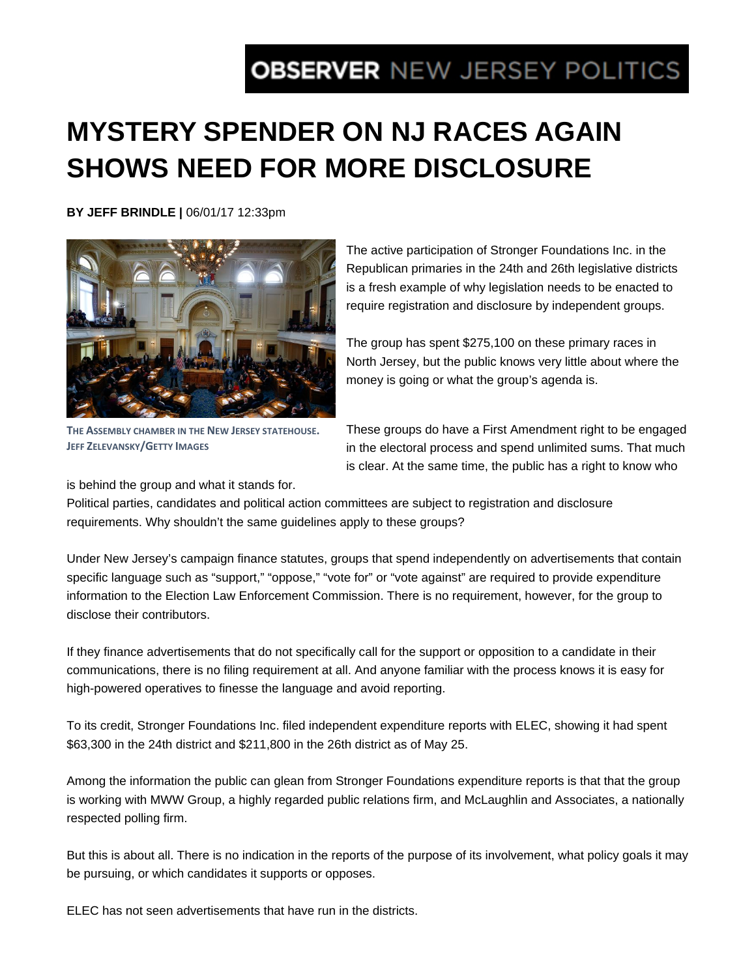## **OBSERVER NEW JERSEY POLITICS**

## **MYSTERY SPENDER ON NJ RACES AGAIN SHOWS NEED FOR MORE DISCLOSURE**

**BY JEFF BRINDLE |** 06/01/17 12:33pm



The active participation of Stronger Foundations Inc. in the Republican primaries in the 24th and 26th legislative districts is a fresh example of why legislation needs to be enacted to require registration and disclosure by independent groups.

The group has spent \$275,100 on these primary races in North Jersey, but the public knows very little about where the money is going or what the group's agenda is.

**THE ASSEMBLY CHAMBER IN THE NEW JERSEY STATEHOUSE. JEFF ZELEVANSKY/GETTY IMAGES**

These groups do have a First Amendment right to be engaged in the electoral process and spend unlimited sums. That much is clear. At the same time, the public has a right to know who

is behind the group and what it stands for.

Political parties, candidates and political action committees are subject to registration and disclosure requirements. Why shouldn't the same guidelines apply to these groups?

Under New Jersey's campaign finance statutes, groups that spend independently on advertisements that contain specific language such as "support," "oppose," "vote for" or "vote against" are required to provide expenditure information to the Election Law Enforcement Commission. There is no requirement, however, for the group to disclose their contributors.

If they finance advertisements that do not specifically call for the support or opposition to a candidate in their communications, there is no filing requirement at all. And anyone familiar with the process knows it is easy for high-powered operatives to finesse the language and avoid reporting.

To its credit, Stronger Foundations Inc. filed independent expenditure reports with ELEC, showing it had spent \$63,300 in the 24th district and \$211,800 in the 26th district as of May 25.

Among the information the public can glean from Stronger Foundations expenditure reports is that that the group is working with MWW Group, a highly regarded public relations firm, and McLaughlin and Associates, a nationally respected polling firm.

But this is about all. There is no indication in the reports of the purpose of its involvement, what policy goals it may be pursuing, or which candidates it supports or opposes.

ELEC has not seen advertisements that have run in the districts.